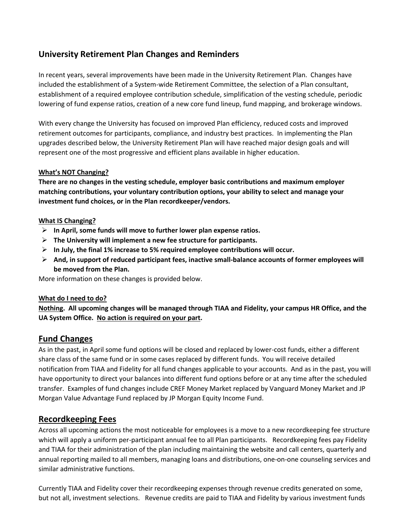## **University Retirement Plan Changes and Reminders**

In recent years, several improvements have been made in the University Retirement Plan. Changes have included the establishment of a System-wide Retirement Committee, the selection of a Plan consultant, establishment of a required employee contribution schedule, simplification of the vesting schedule, periodic lowering of fund expense ratios, creation of a new core fund lineup, fund mapping, and brokerage windows.

With every change the University has focused on improved Plan efficiency, reduced costs and improved retirement outcomes for participants, compliance, and industry best practices. In implementing the Plan upgrades described below, the University Retirement Plan will have reached major design goals and will represent one of the most progressive and efficient plans available in higher education.

#### **What's NOT Changing?**

**There are no changes in the vesting schedule, employer basic contributions and maximum employer matching contributions, your voluntary contribution options, your ability to select and manage your investment fund choices, or in the Plan recordkeeper/vendors.**

#### **What IS Changing?**

- ➢ **In April, some funds will move to further lower plan expense ratios.**
- ➢ **The University will implement a new fee structure for participants.**
- ➢ **In July, the final 1% increase to 5% required employee contributions will occur.**
- ➢ **And, in support of reduced participant fees, inactive small-balance accounts of former employees will be moved from the Plan.**

More information on these changes is provided below.

#### **What do I need to do?**

**Nothing. All upcoming changes will be managed through TIAA and Fidelity, your campus HR Office, and the UA System Office. No action is required on your part.**

## **Fund Changes**

As in the past, in April some fund options will be closed and replaced by lower-cost funds, either a different share class of the same fund or in some cases replaced by different funds. You will receive detailed notification from TIAA and Fidelity for all fund changes applicable to your accounts. And as in the past, you will have opportunity to direct your balances into different fund options before or at any time after the scheduled transfer. Examples of fund changes include CREF Money Market replaced by Vanguard Money Market and JP Morgan Value Advantage Fund replaced by JP Morgan Equity Income Fund.

## **Recordkeeping Fees**

Across all upcoming actions the most noticeable for employees is a move to a new recordkeeping fee structure which will apply a uniform per-participant annual fee to all Plan participants. Recordkeeping fees pay Fidelity and TIAA for their administration of the plan including maintaining the website and call centers, quarterly and annual reporting mailed to all members, managing loans and distributions, one-on-one counseling services and similar administrative functions.

Currently TIAA and Fidelity cover their recordkeeping expenses through revenue credits generated on some, but not all, investment selections. Revenue credits are paid to TIAA and Fidelity by various investment funds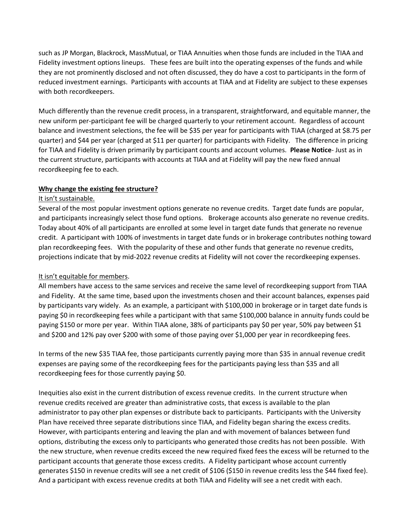such as JP Morgan, Blackrock, MassMutual, or TIAA Annuities when those funds are included in the TIAA and Fidelity investment options lineups. These fees are built into the operating expenses of the funds and while they are not prominently disclosed and not often discussed, they do have a cost to participants in the form of reduced investment earnings. Participants with accounts at TIAA and at Fidelity are subject to these expenses with both recordkeepers.

Much differently than the revenue credit process, in a transparent, straightforward, and equitable manner, the new uniform per-participant fee will be charged quarterly to your retirement account. Regardless of account balance and investment selections, the fee will be \$35 per year for participants with TIAA (charged at \$8.75 per quarter) and \$44 per year (charged at \$11 per quarter) for participants with Fidelity. The difference in pricing for TIAA and Fidelity is driven primarily by participant counts and account volumes. **Please Notice**- Just as in the current structure, participants with accounts at TIAA and at Fidelity will pay the new fixed annual recordkeeping fee to each.

#### **Why change the existing fee structure?**

#### It isn't sustainable.

Several of the most popular investment options generate no revenue credits. Target date funds are popular, and participants increasingly select those fund options. Brokerage accounts also generate no revenue credits. Today about 40% of all participants are enrolled at some level in target date funds that generate no revenue credit. A participant with 100% of investments in target date funds or in brokerage contributes nothing toward plan recordkeeping fees. With the popularity of these and other funds that generate no revenue credits, projections indicate that by mid-2022 revenue credits at Fidelity will not cover the recordkeeping expenses.

#### It isn't equitable for members.

All members have access to the same services and receive the same level of recordkeeping support from TIAA and Fidelity. At the same time, based upon the investments chosen and their account balances, expenses paid by participants vary widely. As an example, a participant with \$100,000 in brokerage or in target date funds is paying \$0 in recordkeeping fees while a participant with that same \$100,000 balance in annuity funds could be paying \$150 or more per year. Within TIAA alone, 38% of participants pay \$0 per year, 50% pay between \$1 and \$200 and 12% pay over \$200 with some of those paying over \$1,000 per year in recordkeeping fees.

In terms of the new \$35 TIAA fee, those participants currently paying more than \$35 in annual revenue credit expenses are paying some of the recordkeeping fees for the participants paying less than \$35 and all recordkeeping fees for those currently paying \$0.

Inequities also exist in the current distribution of excess revenue credits. In the current structure when revenue credits received are greater than administrative costs, that excess is available to the plan administrator to pay other plan expenses or distribute back to participants. Participants with the University Plan have received three separate distributions since TIAA, and Fidelity began sharing the excess credits. However, with participants entering and leaving the plan and with movement of balances between fund options, distributing the excess only to participants who generated those credits has not been possible. With the new structure, when revenue credits exceed the new required fixed fees the excess will be returned to the participant accounts that generate those excess credits. A Fidelity participant whose account currently generates \$150 in revenue credits will see a net credit of \$106 (\$150 in revenue credits less the \$44 fixed fee). And a participant with excess revenue credits at both TIAA and Fidelity will see a net credit with each.